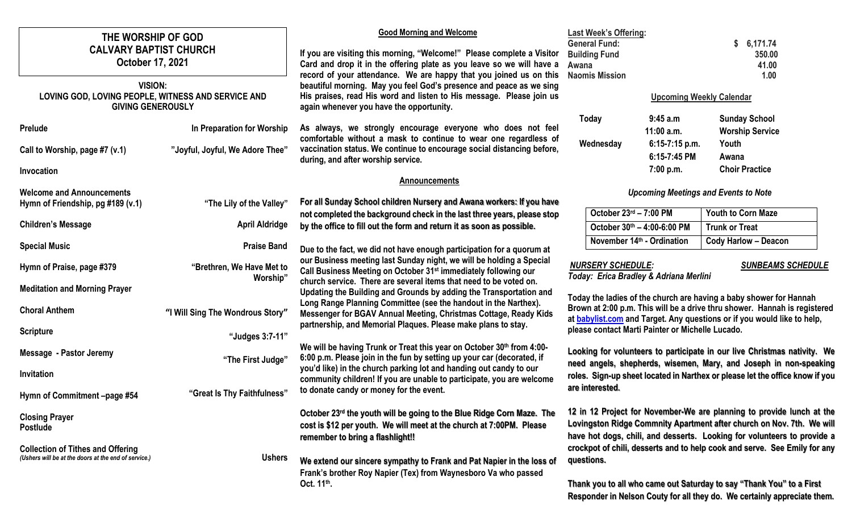| THE WORSHIP OF GOD                                                                               |                                       | <b>Good Morning and Welcome</b>                                                                                                                                                                                                                                                                                                                                                                                  | <b>Last Week's Offering:</b>                                                                                                                                                                                              |                                |                                                                              |
|--------------------------------------------------------------------------------------------------|---------------------------------------|------------------------------------------------------------------------------------------------------------------------------------------------------------------------------------------------------------------------------------------------------------------------------------------------------------------------------------------------------------------------------------------------------------------|---------------------------------------------------------------------------------------------------------------------------------------------------------------------------------------------------------------------------|--------------------------------|------------------------------------------------------------------------------|
| <b>CALVARY BAPTIST CHURCH</b><br>October 17, 2021                                                |                                       | If you are visiting this morning, "Welcome!" Please complete a Visitor<br>Card and drop it in the offering plate as you leave so we will have a<br>record of your attendance. We are happy that you joined us on this<br>beautiful morning. May you feel God's presence and peace as we sing<br>His praises, read His word and listen to His message. Please join us<br>again whenever you have the opportunity. | <b>General Fund:</b><br><b>Building Fund</b><br>Awana<br><b>Naomis Mission</b>                                                                                                                                            |                                | \$6,171.74<br>350.00<br>41.00<br>1.00                                        |
| <b>VISION:</b><br>LOVING GOD, LOVING PEOPLE, WITNESS AND SERVICE AND<br><b>GIVING GENEROUSLY</b> |                                       |                                                                                                                                                                                                                                                                                                                                                                                                                  | <b>Upcoming Weekly Calendar</b>                                                                                                                                                                                           |                                |                                                                              |
| <b>Prelude</b>                                                                                   | In Preparation for Worship            | As always, we strongly encourage everyone who does not feel                                                                                                                                                                                                                                                                                                                                                      | Today                                                                                                                                                                                                                     | 9:45a.m<br>$11:00$ a.m.        | <b>Sunday School</b><br><b>Worship Service</b>                               |
| Call to Worship, page #7 (v.1)                                                                   | "Joyful, Joyful, We Adore Thee"       | comfortable without a mask to continue to wear one regardless of<br>vaccination status. We continue to encourage social distancing before,<br>during, and after worship service.                                                                                                                                                                                                                                 | Wednesday                                                                                                                                                                                                                 | 6:15-7:15 p.m.<br>6:15-7:45 PM | Youth<br>Awana                                                               |
| Invocation                                                                                       |                                       |                                                                                                                                                                                                                                                                                                                                                                                                                  |                                                                                                                                                                                                                           | 7:00 p.m.                      | <b>Choir Practice</b>                                                        |
| <b>Welcome and Announcements</b>                                                                 |                                       | Announcements                                                                                                                                                                                                                                                                                                                                                                                                    |                                                                                                                                                                                                                           |                                |                                                                              |
| Hymn of Friendship, pg #189 (v.1)                                                                | "The Lily of the Valley"              | For all Sunday School children Nursery and Awana workers: If you have                                                                                                                                                                                                                                                                                                                                            |                                                                                                                                                                                                                           |                                | <b>Upcoming Meetings and Events to Note</b>                                  |
|                                                                                                  | <b>April Aldridge</b>                 | not completed the background check in the last three years, please stop                                                                                                                                                                                                                                                                                                                                          | October 23rd - 7:00 PM                                                                                                                                                                                                    |                                | <b>Youth to Corn Maze</b>                                                    |
| <b>Children's Message</b>                                                                        |                                       | by the office to fill out the form and return it as soon as possible.                                                                                                                                                                                                                                                                                                                                            |                                                                                                                                                                                                                           | October 30th - 4:00-6:00 PM    | <b>Trunk or Treat</b>                                                        |
| <b>Special Music</b>                                                                             | <b>Praise Band</b>                    | Due to the fact, we did not have enough participation for a quorum at                                                                                                                                                                                                                                                                                                                                            |                                                                                                                                                                                                                           | November 14th - Ordination     | <b>Cody Harlow - Deacon</b>                                                  |
| Hymn of Praise, page #379                                                                        | "Brethren, We Have Met to<br>Worship" | our Business meeting last Sunday night, we will be holding a Special<br>Call Business Meeting on October 31 <sup>st</sup> immediately following our                                                                                                                                                                                                                                                              | <b>NURSERY SCHEDULE:</b><br><b>SUNBEAMS SCHEDULE</b><br>Today: Erica Bradley & Adriana Merlini                                                                                                                            |                                |                                                                              |
| <b>Meditation and Morning Prayer</b>                                                             |                                       | church service. There are several items that need to be voted on.<br>Updating the Building and Grounds by adding the Transportation and                                                                                                                                                                                                                                                                          |                                                                                                                                                                                                                           |                                |                                                                              |
| <b>Choral Anthem</b>                                                                             | "I Will Sing The Wondrous Story"      | Today the ladies of the church are having a baby shower for Hannah<br>Long Range Planning Committee (see the handout in the Narthex).<br>Brown at 2:00 p.m. This will be a drive thru shower. Hannah is registered<br>Messenger for BGAV Annual Meeting, Christmas Cottage, Ready Kids<br>at <b>babylist.com</b> and Target. Any questions or if you would like to help,                                         |                                                                                                                                                                                                                           |                                |                                                                              |
| <b>Scripture</b>                                                                                 | "Judges 3:7-11"                       | partnership, and Memorial Plaques. Please make plans to stay.                                                                                                                                                                                                                                                                                                                                                    | please contact Marti Painter or Michelle Lucado.                                                                                                                                                                          |                                |                                                                              |
| <b>Message - Pastor Jeremy</b>                                                                   | "The First Judge"                     | We will be having Trunk or Treat this year on October 30th from 4:00-<br>6:00 p.m. Please join in the fun by setting up your car (decorated, if                                                                                                                                                                                                                                                                  | Looking for volunteers to participate in our live Christmas nativity. We<br>need angels, shepherds, wisemen, Mary, and Joseph in non-speaking                                                                             |                                |                                                                              |
| Invitation                                                                                       |                                       | you'd like) in the church parking lot and handing out candy to our<br>community children! If you are unable to participate, you are welcome                                                                                                                                                                                                                                                                      |                                                                                                                                                                                                                           |                                | roles. Sign-up sheet located in Narthex or please let the office know if you |
| Hymn of Commitment -page #54                                                                     | "Great Is Thy Faithfulness"           | to donate candy or money for the event.                                                                                                                                                                                                                                                                                                                                                                          | are interested.                                                                                                                                                                                                           |                                |                                                                              |
| <b>Closing Prayer</b><br><b>Postlude</b>                                                         |                                       | October 23rd the youth will be going to the Blue Ridge Corn Maze. The<br>cost is \$12 per youth. We will meet at the church at 7:00PM. Please<br>remember to bring a flashlight!!                                                                                                                                                                                                                                | 12 in 12 Project for November-We are planning to provide lunch at the<br>Lovingston Ridge Commnity Apartment after church on Nov. 7th. We will<br>have hot dogs, chili, and desserts. Looking for volunteers to provide a |                                |                                                                              |
| <b>Collection of Tithes and Offering</b><br>(Ushers will be at the doors at the end of service.) | <b>Ushers</b>                         | crockpot of chili, desserts and to help cook and serve. See Emily for any<br>questions.<br>We extend our sincere sympathy to Frank and Pat Napier in the loss of<br>Frank's brother Roy Napier (Tex) from Waynesboro Va who passed                                                                                                                                                                               |                                                                                                                                                                                                                           |                                |                                                                              |
|                                                                                                  |                                       | Oct. 11 <sup>th</sup> .                                                                                                                                                                                                                                                                                                                                                                                          | Thank you to all who came out Saturday to say "Thank You" to a First<br>Responder in Nelson Couty for all they do. We certainly appreciate them.                                                                          |                                |                                                                              |